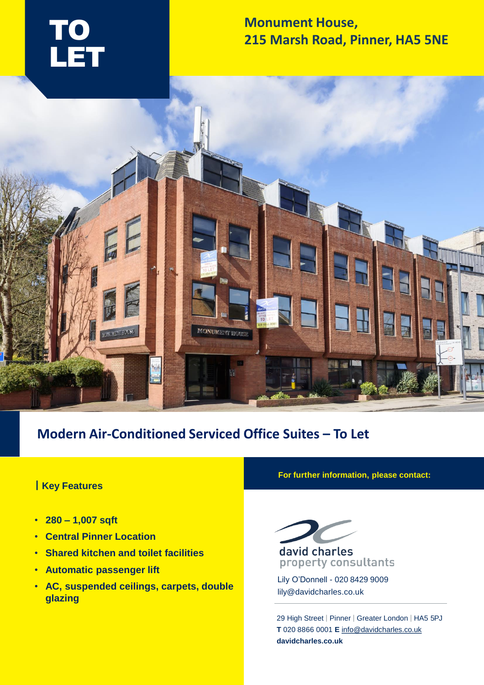

## **Monument House, 215 Marsh Road, Pinner, HA5 5NE**



# **Modern Air-Conditioned Serviced Office Suites – To Let**

### **| Key Features**

- **280 – 1,007 sqft**
- **Central Pinner Location**
- **Shared kitchen and toilet facilities**
- **Automatic passenger lift**
- **AC, suspended ceilings, carpets, double glazing**

**For further information, please contact:**



Lily O'Donnell - 020 8429 9009 lily@davidcharles.co.uk

29 High Street | Pinner | Greater London | HA5 5PJ **T** 020 8866 0001 **E** [info@davidcharles.co.uk](mailto:info@davidcharles.co.uk)  **davidcharles.co.uk**